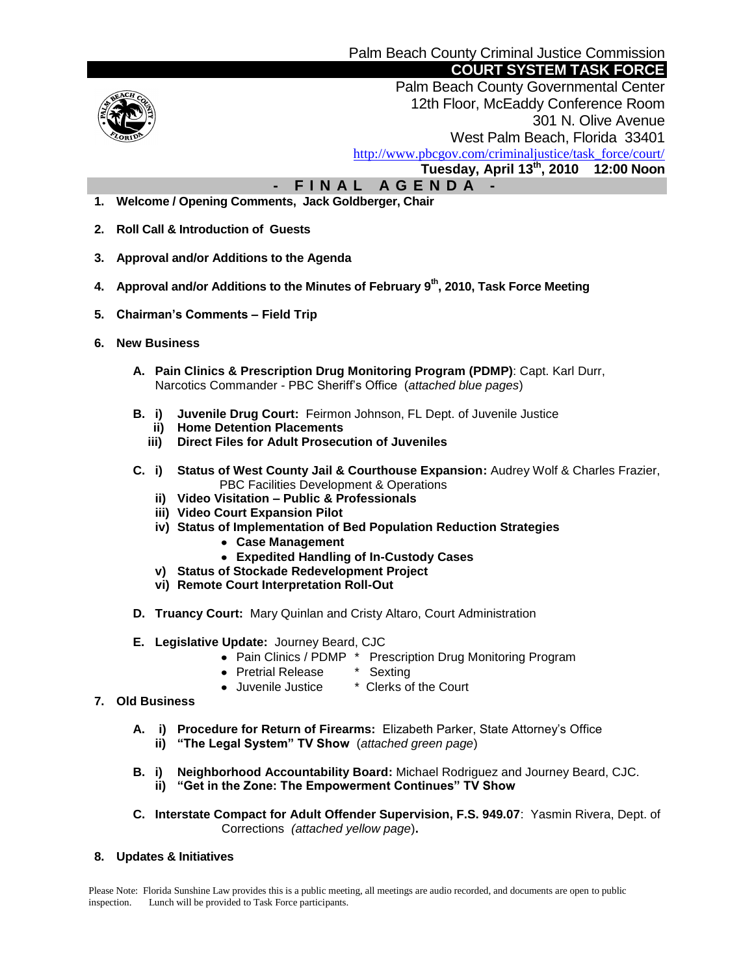

 Palm Beach County Governmental Center 12th Floor, McEaddy Conference Room 301 N. Olive Avenue West Palm Beach, Florida 33401 [http://www.pbcgov.com/criminaljustice/task\\_force/court/](http://www.pbcgov.com/criminaljustice/task_force/court/)  **Tuesday, April 13th, 2010 12:00 Noon**

 **- F I N A L A G E N D A -**

- **1. Welcome / Opening Comments, Jack Goldberger, Chair**
- **2. Roll Call & Introduction of Guests**
- **3. Approval and/or Additions to the Agenda**
- **4. Approval and/or Additions to the Minutes of February 9th , 2010, Task Force Meeting**
- **5. Chairman's Comments – Field Trip**
- **6. New Business**
	- **A. Pain Clinics & Prescription Drug Monitoring Program (PDMP)**: Capt. Karl Durr, Narcotics Commander - PBC Sheriff's Office (*attached blue pages*)
	- **B. i) Juvenile Drug Court:** Feirmon Johnson, FL Dept. of Juvenile Justice
		- **ii) Home Detention Placements**
		- **iii) Direct Files for Adult Prosecution of Juveniles**
	- **C. i) Status of West County Jail & Courthouse Expansion:** Audrey Wolf & Charles Frazier, PBC Facilities Development & Operations
		- **ii) Video Visitation – Public & Professionals**
		- **iii) Video Court Expansion Pilot**
		- **iv) Status of Implementation of Bed Population Reduction Strategies**
			- **Case Management**
			- **Expedited Handling of In-Custody Cases**
		- **v) Status of Stockade Redevelopment Project**
		- **vi) Remote Court Interpretation Roll-Out**
	- **D. Truancy Court:** Mary Quinlan and Cristy Altaro, Court Administration
	- **E. Legislative Update:** Journey Beard, CJC
		- Pain Clinics / PDMP \* Prescription Drug Monitoring Program
		- Pretrial Release \* Sexting
		- Juvenile Justice \* Clerks of the Court
- **7. Old Business**
	- **A. i) Procedure for Return of Firearms:** Elizabeth Parker, State Attorney's Office **ii) "The Legal System" TV Show** (*attached green page*)
	- **B. i) Neighborhood Accountability Board:** Michael Rodriguez and Journey Beard, CJC. **ii) "Get in the Zone: The Empowerment Continues" TV Show**
	- **C. Interstate Compact for Adult Offender Supervision, F.S. 949.07**: Yasmin Rivera, Dept. of Corrections *(attached yellow page*)**.**
- **8. Updates & Initiatives**

Please Note: Florida Sunshine Law provides this is a public meeting, all meetings are audio recorded, and documents are open to public inspection. Lunch will be provided to Task Force participants.